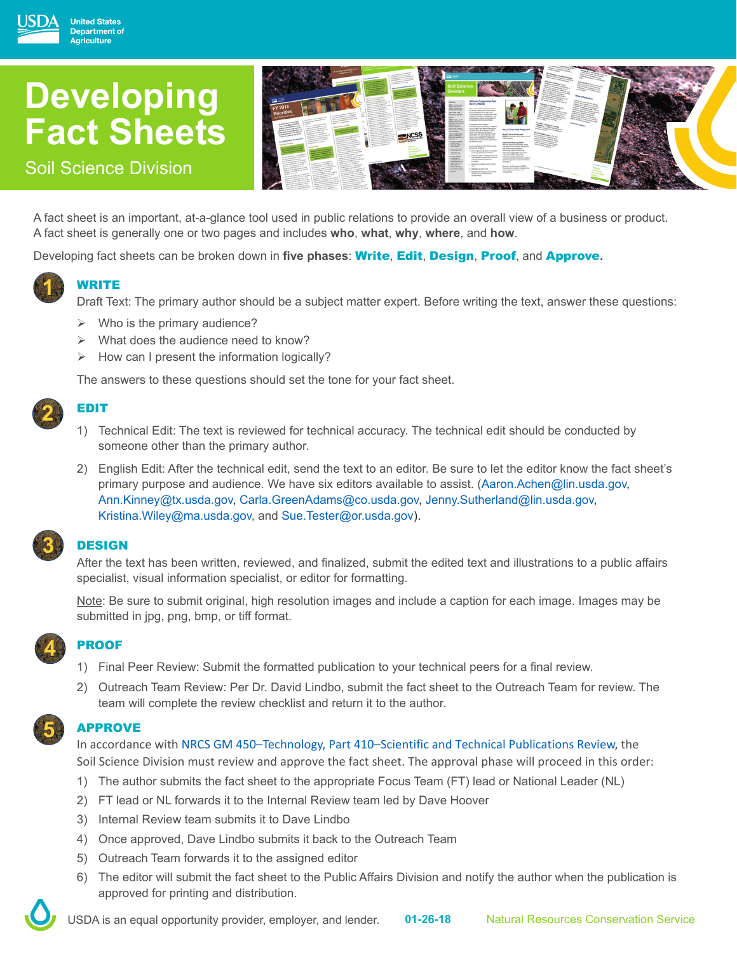# **Developing Fact Sheets**



### Soil Science Division

**United States Department of ariculture** 

WRITE

EDIT

A fact sheet is an important, at-a-glance tool used in public relations to provide an overall view of a business or product. A fact sheet is generally one or two pages and includes **who**, **what**, **why**, **where**, and **how**.

Developing fact sheets can be broken down in **five phases**: Write, Edit, Design, Proof, and Approve**.**

## **1**

Draft Text: The primary author should be a subject matter expert. Before writing the text, answer these questions:

- $\triangleright$  Who is the primary audience?
- $\triangleright$  What does the audience need to know?
- $\triangleright$  How can I present the information logically?

The answers to these questions should set the tone for your fact sheet.

# **2**

- 1) Technical Edit: The text is reviewed for technical accuracy. The technical edit should be conducted by someone other than the primary author.
- 2) English Edit: After the technical edit, send the text to an editor. Be sure to let the editor know the fact sheet's primary purpose and audience. We have six editors available to assist. (Aaron.Achen@lin.usda.gov, Ann.Kinney@tx.usda.gov, Carla.GreenAdams@co.usda.gov, Jenny.Sutherland@lin.usda.gov, Kristina.Wiley@ma.usda.gov, and Sue.Tester@or.usda.gov).

### **3**

**4**

**5**

**DESIGN** 

After the text has been written, reviewed, and finalized, submit the edited text and illustrations to a public affairs specialist, visual information specialist, or editor for formatting.

Note: Be sure to submit original, high resolution images and include a caption for each image. Images may be submitted in jpg, png, bmp, or tiff format.

### PROOF

- 1) Final Peer Review: Submit the formatted publication to your technical peers for a final review.
- 2) Outreach Team Review: Per Dr. David Lindbo, submit the fact sheet to the Outreach Team for review. The team will complete the review checklist and return it to the author.

#### APPROVE

In accordance with [NRCS GM 450–Technology, Part 410–Scientific and Technical Publications Review](https://directives.sc.egov.usda.gov/RollupViewer.aspx?hid=17083), the

Soil Science Division must review and approve the fact sheet. The approval phase will proceed in this order:

- 1) The author submits the fact sheet to the appropriate Focus Team (FT) lead or National Leader (NL)
- 2) FT lead or NL forwards it to the Internal Review team led by Dave Hoover
- 3) Internal Review team submits it to Dave Lindbo
- 4) Once approved, Dave Lindbo submits it back to the Outreach Team
- 5) Outreach Team forwards it to the assigned editor
- 6) The editor will submit the fact sheet to the Public Affairs Division and notify the author when the publication is approved for printing and distribution.

USDA is an equal opportunity provider, employer, and lender. **01-26-18** Natural Resources Conservation Service